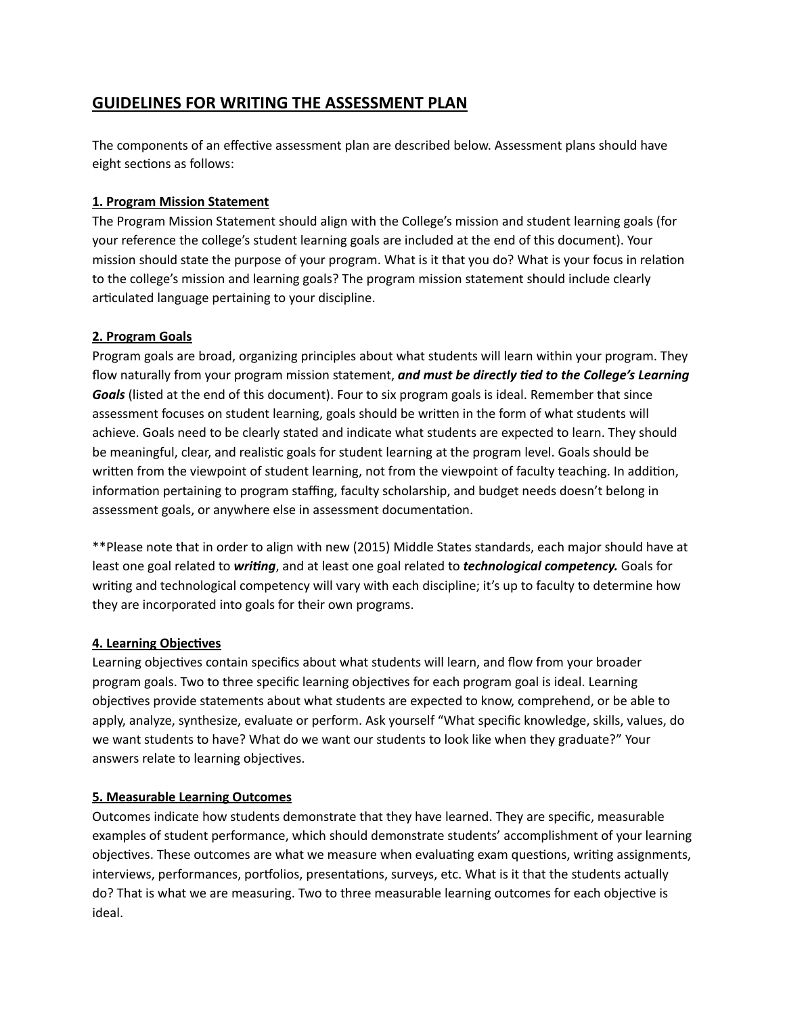# **GUIDELINES FOR WRITING THE ASSESSMENT PLAN**

The components of an effective assessment plan are described below. Assessment plans should have eight sections as follows:

#### **1. Program Mission Statement**

The Program Mission Statement should align with the College's mission and student learning goals (for your reference the college's student learning goals are included at the end of this document). Your mission should state the purpose of your program. What is it that you do? What is your focus in relation to the college's mission and learning goals? The program mission statement should include clearly articulated language pertaining to your discipline.

### **2. Program Goals**

Program goals are broad, organizing principles about what students will learn within your program. They flow naturally from your program mission statement, **and must be directly tied to the College's Learning** Goals (listed at the end of this document). Four to six program goals is ideal. Remember that since assessment focuses on student learning, goals should be written in the form of what students will achieve. Goals need to be clearly stated and indicate what students are expected to learn. They should be meaningful, clear, and realistic goals for student learning at the program level. Goals should be written from the viewpoint of student learning, not from the viewpoint of faculty teaching. In addition, information pertaining to program staffing, faculty scholarship, and budget needs doesn't belong in assessment goals, or anywhere else in assessment documentation.

\*\*Please note that in order to align with new (2015) Middle States standards, each major should have at least one goal related to *writing*, and at least one goal related to *technological competency*. Goals for writing and technological competency will vary with each discipline; it's up to faculty to determine how they are incorporated into goals for their own programs.

### **4. Learning Objectives**

Learning objectives contain specifics about what students will learn, and flow from your broader program goals. Two to three specific learning objectives for each program goal is ideal. Learning objectives provide statements about what students are expected to know, comprehend, or be able to apply, analyze, synthesize, evaluate or perform. Ask yourself "What specific knowledge, skills, values, do we want students to have? What do we want our students to look like when they graduate?" Your answers relate to learning objectives.

### **5. Measurable Learning Outcomes**

Outcomes indicate how students demonstrate that they have learned. They are specific, measurable examples of student performance, which should demonstrate students' accomplishment of your learning objectives. These outcomes are what we measure when evaluating exam questions, writing assignments, interviews, performances, portfolios, presentations, surveys, etc. What is it that the students actually do? That is what we are measuring. Two to three measurable learning outcomes for each objective is ideal.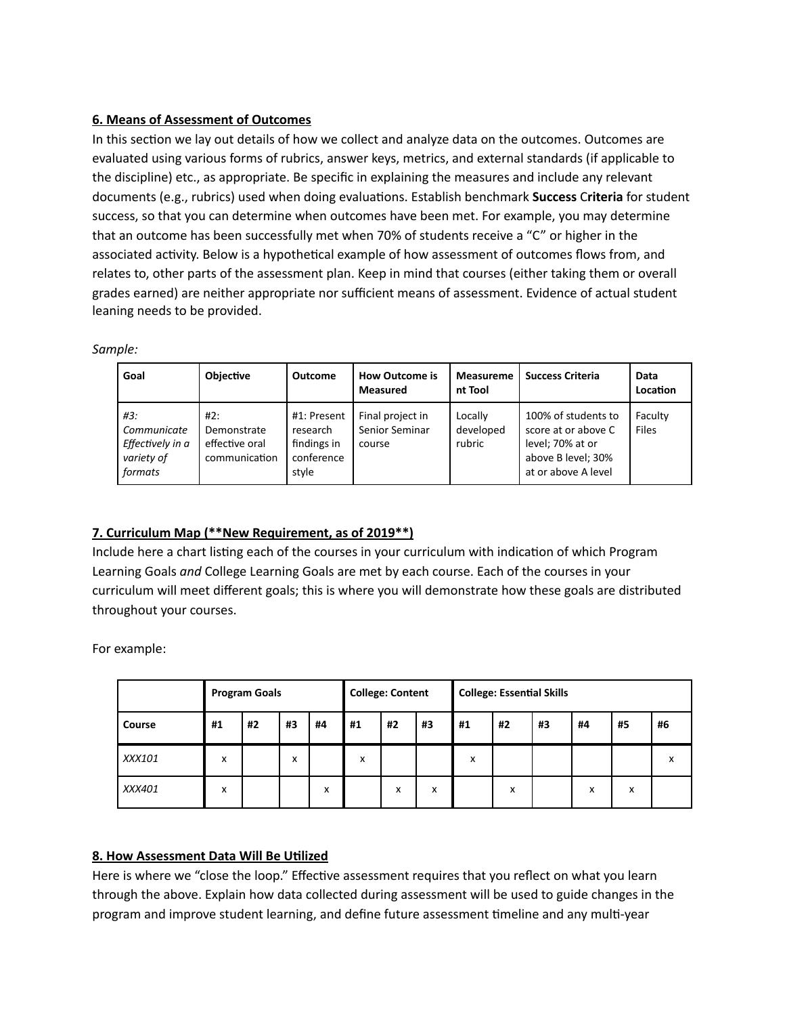### **6. Means of Assessment of Outcomes**

In this section we lay out details of how we collect and analyze data on the outcomes. Outcomes are evaluated using various forms of rubrics, answer keys, metrics, and external standards (if applicable to the discipline) etc., as appropriate. Be specific in explaining the measures and include any relevant documents (e.g., rubrics) used when doing evaluations. Establish benchmark **Success Criteria** for student success, so that you can determine when outcomes have been met. For example, you may determine that an outcome has been successfully met when 70% of students receive a "C" or higher in the associated activity. Below is a hypothetical example of how assessment of outcomes flows from, and relates to, other parts of the assessment plan. Keep in mind that courses (either taking them or overall grades earned) are neither appropriate nor sufficient means of assessment. Evidence of actual student leaning needs to be provided.

| Goal                                                            | <b>Objective</b>                                      | Outcome                                                       | <b>How Outcome is</b><br><b>Measured</b>     | <b>Measureme</b><br>nt Tool    | <b>Success Criteria</b>                                                                                     | Data<br>Location        |
|-----------------------------------------------------------------|-------------------------------------------------------|---------------------------------------------------------------|----------------------------------------------|--------------------------------|-------------------------------------------------------------------------------------------------------------|-------------------------|
| #3:<br>Communicate<br>Effectively in a<br>variety of<br>formats | #2:<br>Demonstrate<br>effective oral<br>communication | #1: Present<br>research<br>findings in<br>conference<br>style | Final project in<br>Senior Seminar<br>course | Locally<br>developed<br>rubric | 100% of students to<br>score at or above C<br>level; 70% at or<br>above B level; 30%<br>at or above A level | Faculty<br><b>Files</b> |

### **7. Curriculum Map (\*\*New Requirement, as of 2019\*\*)**

Include here a chart listing each of the courses in your curriculum with indication of which Program Learning Goals *and* College Learning Goals are met by each course. Each of the courses in your curriculum will meet different goals; this is where you will demonstrate how these goals are distributed throughout your courses.

For example:

|               | <b>Program Goals</b> |    |    |    | <b>College: Content</b> |    |    | <b>College: Essential Skills</b> |    |    |    |    |    |
|---------------|----------------------|----|----|----|-------------------------|----|----|----------------------------------|----|----|----|----|----|
| <b>Course</b> | #1                   | #2 | #3 | #4 | #1                      | #2 | #3 | #1                               | #2 | #3 | #4 | #5 | #6 |
| XXX101        | X                    |    | x  |    | x                       |    |    | x                                |    |    |    |    | x  |
| XXX401        | x                    |    |    | x  |                         | x  | x  |                                  | x  |    | x  | x  |    |

## **8. How Assessment Data Will Be Utilized**

Here is where we "close the loop." Effective assessment requires that you reflect on what you learn through the above. Explain how data collected during assessment will be used to guide changes in the program and improve student learning, and define future assessment timeline and any multi-year